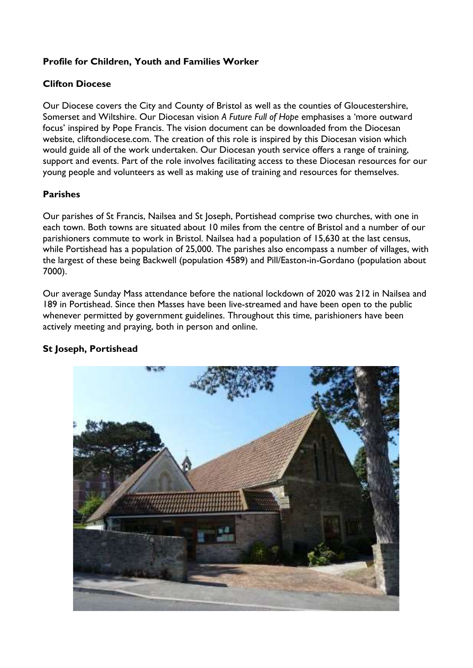# Profile for Children, Youth and Families Worker

# Clifton Diocese

Our Diocese covers the City and County of Bristol as well as the counties of Gloucestershire, Somerset and Wiltshire. Our Diocesan vision A Future Full of Hope emphasises a 'more outward focus' inspired by Pope Francis. The vision document can be downloaded from the Diocesan website, cliftondiocese.com. The creation of this role is inspired by this Diocesan vision which would guide all of the work undertaken. Our Diocesan youth service offers a range of training, support and events. Part of the role involves facilitating access to these Diocesan resources for our young people and volunteers as well as making use of training and resources for themselves.

# Parishes

Our parishes of St Francis, Nailsea and St Joseph, Portishead comprise two churches, with one in each town. Both towns are situated about 10 miles from the centre of Bristol and a number of our parishioners commute to work in Bristol. Nailsea had a population of 15,630 at the last census, while Portishead has a population of 25,000. The parishes also encompass a number of villages, with the largest of these being Backwell (population 4589) and Pill/Easton-in-Gordano (population about 7000).

Our average Sunday Mass attendance before the national lockdown of 2020 was 212 in Nailsea and 189 in Portishead. Since then Masses have been live-streamed and have been open to the public whenever permitted by government guidelines. Throughout this time, parishioners have been actively meeting and praying, both in person and online.



# St Joseph, Portishead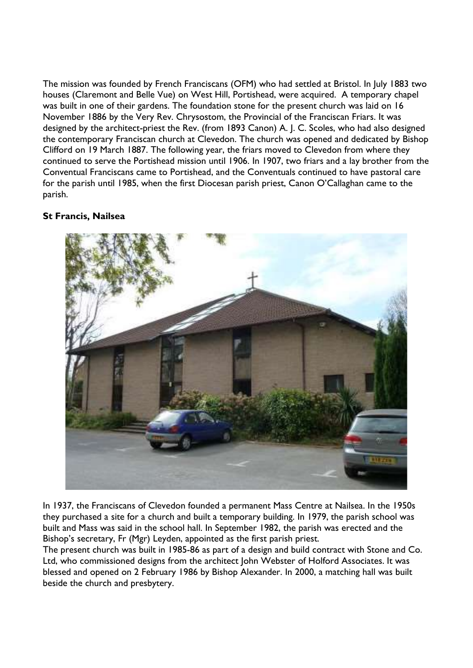The mission was founded by French Franciscans (OFM) who had settled at Bristol. In July 1883 two houses (Claremont and Belle Vue) on West Hill, Portishead, were acquired. A temporary chapel was built in one of their gardens. The foundation stone for the present church was laid on 16 November 1886 by the Very Rev. Chrysostom, the Provincial of the Franciscan Friars. It was designed by the architect-priest the Rev. (from 1893 Canon) A. J. C. Scoles, who had also designed the contemporary Franciscan church at Clevedon. The church was opened and dedicated by Bishop Clifford on 19 March 1887. The following year, the friars moved to Clevedon from where they continued to serve the Portishead mission until 1906. In 1907, two friars and a lay brother from the Conventual Franciscans came to Portishead, and the Conventuals continued to have pastoral care for the parish until 1985, when the first Diocesan parish priest, Canon O'Callaghan came to the parish.

### St Francis, Nailsea



In 1937, the Franciscans of Clevedon founded a permanent Mass Centre at Nailsea. In the 1950s they purchased a site for a church and built a temporary building. In 1979, the parish school was built and Mass was said in the school hall. In September 1982, the parish was erected and the Bishop's secretary, Fr (Mgr) Leyden, appointed as the first parish priest.

The present church was built in 1985-86 as part of a design and build contract with Stone and Co. Ltd, who commissioned designs from the architect John Webster of Holford Associates. It was blessed and opened on 2 February 1986 by Bishop Alexander. In 2000, a matching hall was built beside the church and presbytery.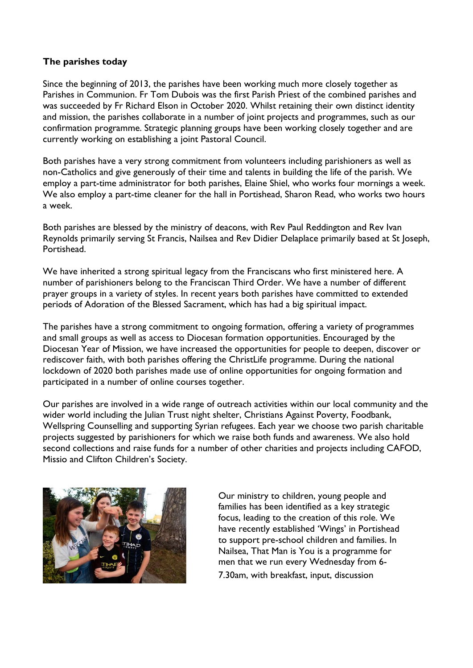#### The parishes today

Since the beginning of 2013, the parishes have been working much more closely together as Parishes in Communion. Fr Tom Dubois was the first Parish Priest of the combined parishes and was succeeded by Fr Richard Elson in October 2020. Whilst retaining their own distinct identity and mission, the parishes collaborate in a number of joint projects and programmes, such as our confirmation programme. Strategic planning groups have been working closely together and are currently working on establishing a joint Pastoral Council.

Both parishes have a very strong commitment from volunteers including parishioners as well as non-Catholics and give generously of their time and talents in building the life of the parish. We employ a part-time administrator for both parishes, Elaine Shiel, who works four mornings a week. We also employ a part-time cleaner for the hall in Portishead, Sharon Read, who works two hours a week.

Both parishes are blessed by the ministry of deacons, with Rev Paul Reddington and Rev Ivan Reynolds primarily serving St Francis, Nailsea and Rev Didier Delaplace primarily based at St Joseph, **Portishead** 

We have inherited a strong spiritual legacy from the Franciscans who first ministered here. A number of parishioners belong to the Franciscan Third Order. We have a number of different prayer groups in a variety of styles. In recent years both parishes have committed to extended periods of Adoration of the Blessed Sacrament, which has had a big spiritual impact.

The parishes have a strong commitment to ongoing formation, offering a variety of programmes and small groups as well as access to Diocesan formation opportunities. Encouraged by the Diocesan Year of Mission, we have increased the opportunities for people to deepen, discover or rediscover faith, with both parishes offering the ChristLife programme. During the national lockdown of 2020 both parishes made use of online opportunities for ongoing formation and participated in a number of online courses together.

Our parishes are involved in a wide range of outreach activities within our local community and the wider world including the Julian Trust night shelter, Christians Against Poverty, Foodbank, Wellspring Counselling and supporting Syrian refugees. Each year we choose two parish charitable projects suggested by parishioners for which we raise both funds and awareness. We also hold second collections and raise funds for a number of other charities and projects including CAFOD, Missio and Clifton Children's Society.



Our ministry to children, young people and families has been identified as a key strategic focus, leading to the creation of this role. We have recently established 'Wings' in Portishead to support pre-school children and families. In Nailsea, That Man is You is a programme for men that we run every Wednesday from 6- 7.30am, with breakfast, input, discussion